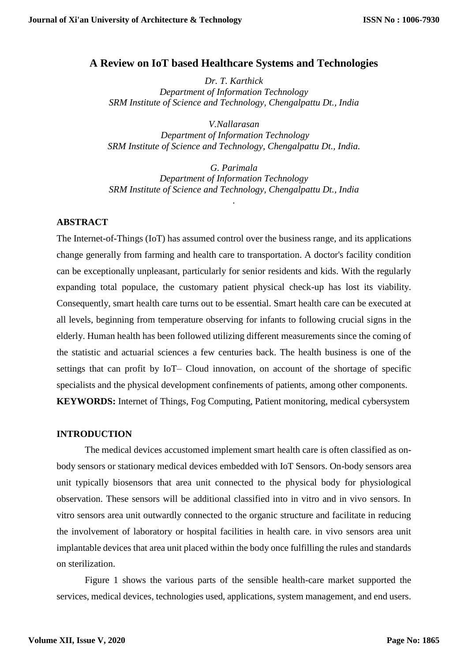# **A Review on IoT based Healthcare Systems and Technologies**

*Dr. T. Karthick Department of Information Technology SRM Institute of Science and Technology, Chengalpattu Dt., India*

*[V.Nallarasan](https://www.srmist.edu.in/it-dept/faculty/v-nallarasan) Department of Information Technology SRM Institute of Science and Technology, Chengalpattu Dt., India.*

*G. Parimala Department of Information Technology SRM Institute of Science and Technology, Chengalpattu Dt., India*

*.*

# **ABSTRACT**

The Internet-of-Things (IoT) has assumed control over the business range, and its applications change generally from farming and health care to transportation. A doctor's facility condition can be exceptionally unpleasant, particularly for senior residents and kids. With the regularly expanding total populace, the customary patient physical check-up has lost its viability. Consequently, smart health care turns out to be essential. Smart health care can be executed at all levels, beginning from temperature observing for infants to following crucial signs in the elderly. Human health has been followed utilizing different measurements since the coming of the statistic and actuarial sciences a few centuries back. The health business is one of the settings that can profit by IoT– Cloud innovation, on account of the shortage of specific specialists and the physical development confinements of patients, among other components. **KEYWORDS:** Internet of Things, Fog Computing, Patient monitoring, medical cybersystem

#### **INTRODUCTION**

The medical devices accustomed implement smart health care is often classified as onbody sensors or stationary medical devices embedded with IoT Sensors. On-body sensors area unit typically biosensors that area unit connected to the physical body for physiological observation. These sensors will be additional classified into in vitro and in vivo sensors. In vitro sensors area unit outwardly connected to the organic structure and facilitate in reducing the involvement of laboratory or hospital facilities in health care. in vivo sensors area unit implantable devices that area unit placed within the body once fulfilling the rules and standards on sterilization.

Figure 1 shows the various parts of the sensible health-care market supported the services, medical devices, technologies used, applications, system management, and end users.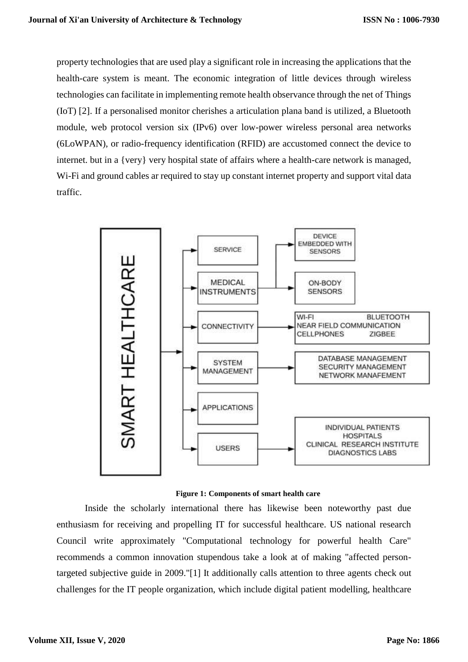property technologies that are used play a significant role in increasing the applications that the health-care system is meant. The economic integration of little devices through wireless technologies can facilitate in implementing remote health observance through the net of Things (IoT) [2]. If a personalised monitor cherishes a articulation plana band is utilized, a Bluetooth module, web protocol version six (IPv6) over low-power wireless personal area networks (6LoWPAN), or radio-frequency identification (RFID) are accustomed connect the device to internet. but in a {very} very hospital state of affairs where a health-care network is managed, Wi-Fi and ground cables ar required to stay up constant internet property and support vital data traffic.





Inside the scholarly international there has likewise been noteworthy past due enthusiasm for receiving and propelling IT for successful healthcare. US national research Council write approximately "Computational technology for powerful health Care" recommends a common innovation stupendous take a look at of making "affected persontargeted subjective guide in 2009."[1] It additionally calls attention to three agents check out challenges for the IT people organization, which include digital patient modelling, healthcare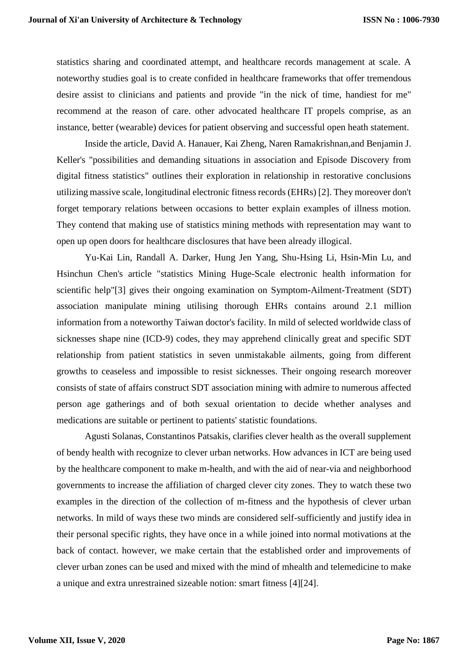statistics sharing and coordinated attempt, and healthcare records management at scale. A noteworthy studies goal is to create confided in healthcare frameworks that offer tremendous desire assist to clinicians and patients and provide "in the nick of time, handiest for me" recommend at the reason of care. other advocated healthcare IT propels comprise, as an instance, better (wearable) devices for patient observing and successful open heath statement.

Inside the article, David A. Hanauer, Kai Zheng, Naren Ramakrishnan,and Benjamin J. Keller's "possibilities and demanding situations in association and Episode Discovery from digital fitness statistics" outlines their exploration in relationship in restorative conclusions utilizing massive scale, longitudinal electronic fitness records (EHRs) [2]. They moreover don't forget temporary relations between occasions to better explain examples of illness motion. They contend that making use of statistics mining methods with representation may want to open up open doors for healthcare disclosures that have been already illogical.

Yu-Kai Lin, Randall A. Darker, Hung Jen Yang, Shu-Hsing Li, Hsin-Min Lu, and Hsinchun Chen's article "statistics Mining Huge-Scale electronic health information for scientific help"[3] gives their ongoing examination on Symptom-Ailment-Treatment (SDT) association manipulate mining utilising thorough EHRs contains around 2.1 million information from a noteworthy Taiwan doctor's facility. In mild of selected worldwide class of sicknesses shape nine (ICD-9) codes, they may apprehend clinically great and specific SDT relationship from patient statistics in seven unmistakable ailments, going from different growths to ceaseless and impossible to resist sicknesses. Their ongoing research moreover consists of state of affairs construct SDT association mining with admire to numerous affected person age gatherings and of both sexual orientation to decide whether analyses and medications are suitable or pertinent to patients' statistic foundations.

Agusti Solanas, Constantinos Patsakis, clarifies clever health as the overall supplement of bendy health with recognize to clever urban networks. How advances in ICT are being used by the healthcare component to make m-health, and with the aid of near-via and neighborhood governments to increase the affiliation of charged clever city zones. They to watch these two examples in the direction of the collection of m-fitness and the hypothesis of clever urban networks. In mild of ways these two minds are considered self-sufficiently and justify idea in their personal specific rights, they have once in a while joined into normal motivations at the back of contact. however, we make certain that the established order and improvements of clever urban zones can be used and mixed with the mind of mhealth and telemedicine to make a unique and extra unrestrained sizeable notion: smart fitness [4][24].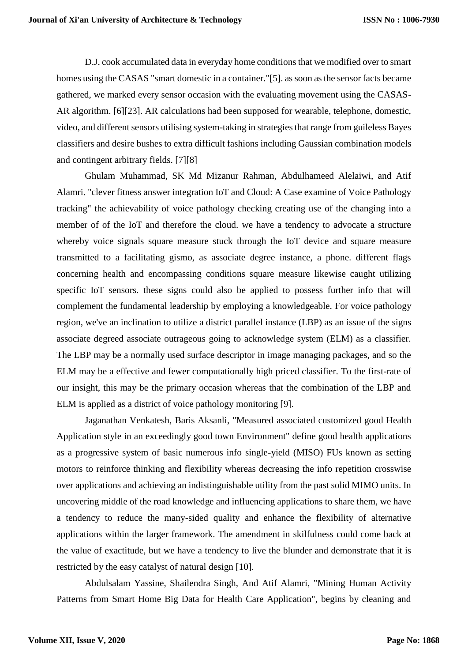D.J. cook accumulated data in everyday home conditions that we modified over to smart homes using the CASAS "smart domestic in a container."[5]. as soon as the sensor facts became gathered, we marked every sensor occasion with the evaluating movement using the CASAS-AR algorithm. [6][23]. AR calculations had been supposed for wearable, telephone, domestic, video, and different sensors utilising system-taking in strategies that range from guileless Bayes classifiers and desire bushes to extra difficult fashions including Gaussian combination models and contingent arbitrary fields. [7][8]

Ghulam Muhammad, SK Md Mizanur Rahman, Abdulhameed Alelaiwi, and Atif Alamri. "clever fitness answer integration IoT and Cloud: A Case examine of Voice Pathology tracking" the achievability of voice pathology checking creating use of the changing into a member of of the IoT and therefore the cloud. we have a tendency to advocate a structure whereby voice signals square measure stuck through the IoT device and square measure transmitted to a facilitating gismo, as associate degree instance, a phone. different flags concerning health and encompassing conditions square measure likewise caught utilizing specific IoT sensors. these signs could also be applied to possess further info that will complement the fundamental leadership by employing a knowledgeable. For voice pathology region, we've an inclination to utilize a district parallel instance (LBP) as an issue of the signs associate degreed associate outrageous going to acknowledge system (ELM) as a classifier. The LBP may be a normally used surface descriptor in image managing packages, and so the ELM may be a effective and fewer computationally high priced classifier. To the first-rate of our insight, this may be the primary occasion whereas that the combination of the LBP and ELM is applied as a district of voice pathology monitoring [9].

Jaganathan Venkatesh, Baris Aksanli, "Measured associated customized good Health Application style in an exceedingly good town Environment" define good health applications as a progressive system of basic numerous info single-yield (MISO) FUs known as setting motors to reinforce thinking and flexibility whereas decreasing the info repetition crosswise over applications and achieving an indistinguishable utility from the past solid MIMO units. In uncovering middle of the road knowledge and influencing applications to share them, we have a tendency to reduce the many-sided quality and enhance the flexibility of alternative applications within the larger framework. The amendment in skilfulness could come back at the value of exactitude, but we have a tendency to live the blunder and demonstrate that it is restricted by the easy catalyst of natural design [10].

Abdulsalam Yassine, Shailendra Singh, And Atif Alamri, "Mining Human Activity Patterns from Smart Home Big Data for Health Care Application", begins by cleaning and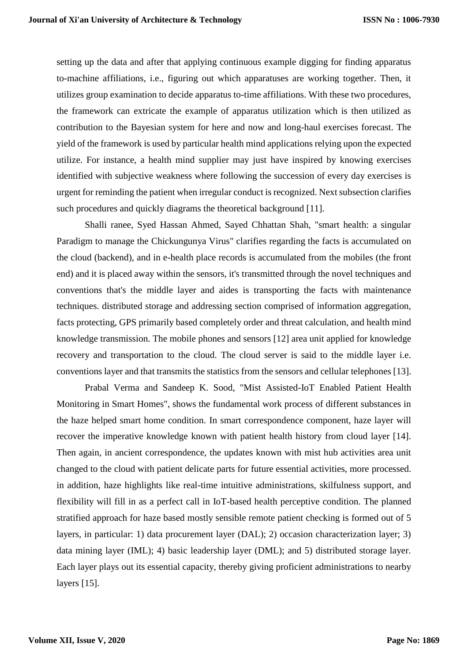setting up the data and after that applying continuous example digging for finding apparatus to-machine affiliations, i.e., figuring out which apparatuses are working together. Then, it utilizes group examination to decide apparatus to-time affiliations. With these two procedures, the framework can extricate the example of apparatus utilization which is then utilized as contribution to the Bayesian system for here and now and long-haul exercises forecast. The yield of the framework is used by particular health mind applications relying upon the expected utilize. For instance, a health mind supplier may just have inspired by knowing exercises identified with subjective weakness where following the succession of every day exercises is urgent for reminding the patient when irregular conduct is recognized. Next subsection clarifies such procedures and quickly diagrams the theoretical background [11].

Shalli ranee, Syed Hassan Ahmed, Sayed Chhattan Shah, "smart health: a singular Paradigm to manage the Chickungunya Virus" clarifies regarding the facts is accumulated on the cloud (backend), and in e-health place records is accumulated from the mobiles (the front end) and it is placed away within the sensors, it's transmitted through the novel techniques and conventions that's the middle layer and aides is transporting the facts with maintenance techniques. distributed storage and addressing section comprised of information aggregation, facts protecting, GPS primarily based completely order and threat calculation, and health mind knowledge transmission. The mobile phones and sensors [12] area unit applied for knowledge recovery and transportation to the cloud. The cloud server is said to the middle layer i.e. conventions layer and that transmits the statistics from the sensors and cellular telephones [13].

Prabal Verma and Sandeep K. Sood, "Mist Assisted-IoT Enabled Patient Health Monitoring in Smart Homes", shows the fundamental work process of different substances in the haze helped smart home condition. In smart correspondence component, haze layer will recover the imperative knowledge known with patient health history from cloud layer [14]. Then again, in ancient correspondence, the updates known with mist hub activities area unit changed to the cloud with patient delicate parts for future essential activities, more processed. in addition, haze highlights like real-time intuitive administrations, skilfulness support, and flexibility will fill in as a perfect call in IoT-based health perceptive condition. The planned stratified approach for haze based mostly sensible remote patient checking is formed out of 5 layers, in particular: 1) data procurement layer (DAL); 2) occasion characterization layer; 3) data mining layer (IML); 4) basic leadership layer (DML); and 5) distributed storage layer. Each layer plays out its essential capacity, thereby giving proficient administrations to nearby layers [15].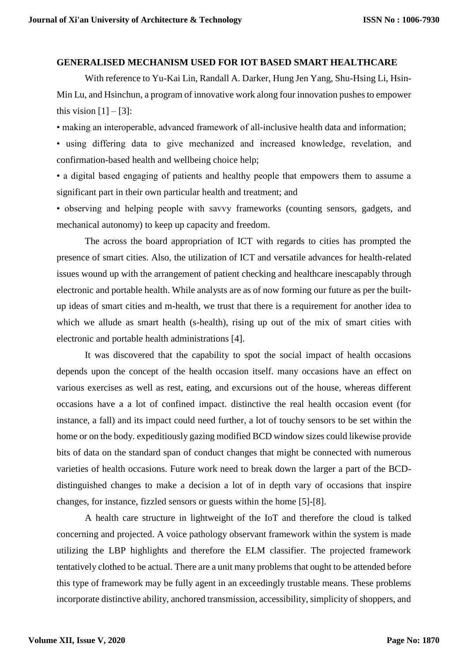#### **GENERALISED MECHANISM USED FOR IOT BASED SMART HEALTHCARE**

With reference to Yu-Kai Lin, Randall A. Darker, Hung Jen Yang, Shu-Hsing Li, Hsin-Min Lu, and Hsinchun, a program of innovative work along four innovation pushes to empower this vision  $[1] - [3]$ :

• making an interoperable, advanced framework of all-inclusive health data and information;

• using differing data to give mechanized and increased knowledge, revelation, and confirmation-based health and wellbeing choice help;

• a digital based engaging of patients and healthy people that empowers them to assume a significant part in their own particular health and treatment; and

• observing and helping people with savvy frameworks (counting sensors, gadgets, and mechanical autonomy) to keep up capacity and freedom.

The across the board appropriation of ICT with regards to cities has prompted the presence of smart cities. Also, the utilization of ICT and versatile advances for health-related issues wound up with the arrangement of patient checking and healthcare inescapably through electronic and portable health. While analysts are as of now forming our future as per the builtup ideas of smart cities and m-health, we trust that there is a requirement for another idea to which we allude as smart health (s-health), rising up out of the mix of smart cities with electronic and portable health administrations [4].

It was discovered that the capability to spot the social impact of health occasions depends upon the concept of the health occasion itself. many occasions have an effect on various exercises as well as rest, eating, and excursions out of the house, whereas different occasions have a a lot of confined impact. distinctive the real health occasion event (for instance, a fall) and its impact could need further, a lot of touchy sensors to be set within the home or on the body. expeditiously gazing modified BCD window sizes could likewise provide bits of data on the standard span of conduct changes that might be connected with numerous varieties of health occasions. Future work need to break down the larger a part of the BCDdistinguished changes to make a decision a lot of in depth vary of occasions that inspire changes, for instance, fizzled sensors or guests within the home [5]-[8].

A health care structure in lightweight of the IoT and therefore the cloud is talked concerning and projected. A voice pathology observant framework within the system is made utilizing the LBP highlights and therefore the ELM classifier. The projected framework tentatively clothed to be actual. There are a unit many problems that ought to be attended before this type of framework may be fully agent in an exceedingly trustable means. These problems incorporate distinctive ability, anchored transmission, accessibility, simplicity of shoppers, and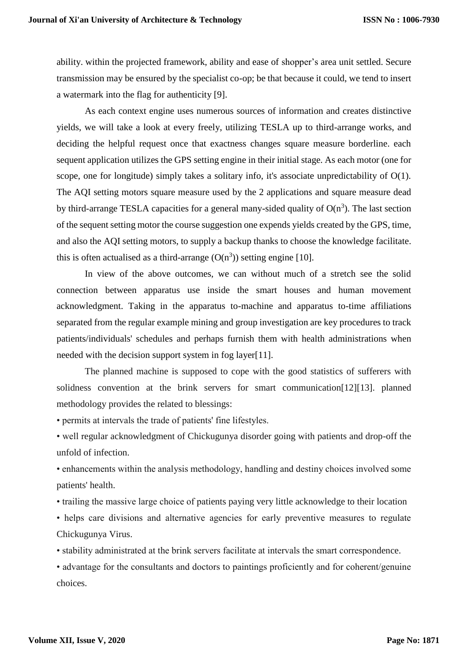ability. within the projected framework, ability and ease of shopper's area unit settled. Secure transmission may be ensured by the specialist co-op; be that because it could, we tend to insert a watermark into the flag for authenticity [9].

As each context engine uses numerous sources of information and creates distinctive yields, we will take a look at every freely, utilizing TESLA up to third-arrange works, and deciding the helpful request once that exactness changes square measure borderline. each sequent application utilizes the GPS setting engine in their initial stage. As each motor (one for scope, one for longitude) simply takes a solitary info, it's associate unpredictability of O(1). The AQI setting motors square measure used by the 2 applications and square measure dead by third-arrange TESLA capacities for a general many-sided quality of  $O(n^3)$ . The last section of the sequent setting motor the course suggestion one expends yields created by the GPS, time, and also the AQI setting motors, to supply a backup thanks to choose the knowledge facilitate. this is often actualised as a third-arrange  $(O(n^3))$  setting engine [10].

In view of the above outcomes, we can without much of a stretch see the solid connection between apparatus use inside the smart houses and human movement acknowledgment. Taking in the apparatus to-machine and apparatus to-time affiliations separated from the regular example mining and group investigation are key procedures to track patients/individuals' schedules and perhaps furnish them with health administrations when needed with the decision support system in fog layer[11].

The planned machine is supposed to cope with the good statistics of sufferers with solidness convention at the brink servers for smart communication[12][13]. planned methodology provides the related to blessings:

• permits at intervals the trade of patients' fine lifestyles.

• well regular acknowledgment of Chickugunya disorder going with patients and drop-off the unfold of infection.

• enhancements within the analysis methodology, handling and destiny choices involved some patients' health.

• trailing the massive large choice of patients paying very little acknowledge to their location

• helps care divisions and alternative agencies for early preventive measures to regulate Chickugunya Virus.

• stability administrated at the brink servers facilitate at intervals the smart correspondence.

• advantage for the consultants and doctors to paintings proficiently and for coherent/genuine choices.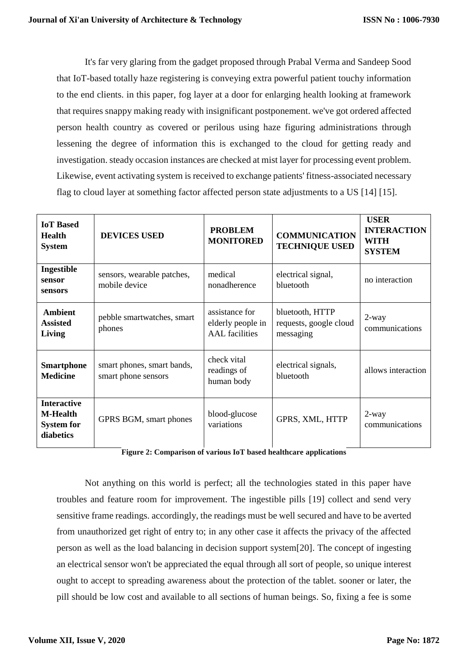It's far very glaring from the gadget proposed through Prabal Verma and Sandeep Sood that IoT-based totally haze registering is conveying extra powerful patient touchy information to the end clients. in this paper, fog layer at a door for enlarging health looking at framework that requires snappy making ready with insignificant postponement. we've got ordered affected person health country as covered or perilous using haze figuring administrations through lessening the degree of information this is exchanged to the cloud for getting ready and investigation. steady occasion instances are checked at mist layer for processing event problem. Likewise, event activating system is received to exchange patients' fitness-associated necessary flag to cloud layer at something factor affected person state adjustments to a US [14] [15].

| <b>IoT</b> Based<br><b>Health</b><br><b>System</b>                      | <b>DEVICES USED</b>                               | <b>PROBLEM</b><br><b>MONITORED</b>                           | <b>COMMUNICATION</b><br><b>TECHNIQUE USED</b>          | <b>USER</b><br><b>INTERACTION</b><br><b>WITH</b><br><b>SYSTEM</b> |
|-------------------------------------------------------------------------|---------------------------------------------------|--------------------------------------------------------------|--------------------------------------------------------|-------------------------------------------------------------------|
| Ingestible<br>sensor<br>sensors                                         | sensors, wearable patches,<br>mobile device       | medical<br>nonadherence                                      | electrical signal,<br>bluetooth                        | no interaction                                                    |
| <b>Ambient</b><br><b>Assisted</b><br>Living                             | pebble smartwatches, smart<br>phones              | assistance for<br>elderly people in<br><b>AAL</b> facilities | bluetooth, HTTP<br>requests, google cloud<br>messaging | 2-way<br>communications                                           |
| <b>Smartphone</b><br><b>Medicine</b>                                    | smart phones, smart bands,<br>smart phone sensors | check vital<br>readings of<br>human body                     | electrical signals,<br>bluetooth                       | allows interaction                                                |
| <b>Interactive</b><br><b>M-Health</b><br><b>System for</b><br>diabetics | GPRS BGM, smart phones                            | blood-glucose<br>variations                                  | GPRS, XML, HTTP                                        | $2$ -way<br>communications                                        |

**Figure 2: Comparison of various IoT based healthcare applications**

Not anything on this world is perfect; all the technologies stated in this paper have troubles and feature room for improvement. The ingestible pills [19] collect and send very sensitive frame readings. accordingly, the readings must be well secured and have to be averted from unauthorized get right of entry to; in any other case it affects the privacy of the affected person as well as the load balancing in decision support system[20]. The concept of ingesting an electrical sensor won't be appreciated the equal through all sort of people, so unique interest ought to accept to spreading awareness about the protection of the tablet. sooner or later, the pill should be low cost and available to all sections of human beings. So, fixing a fee is some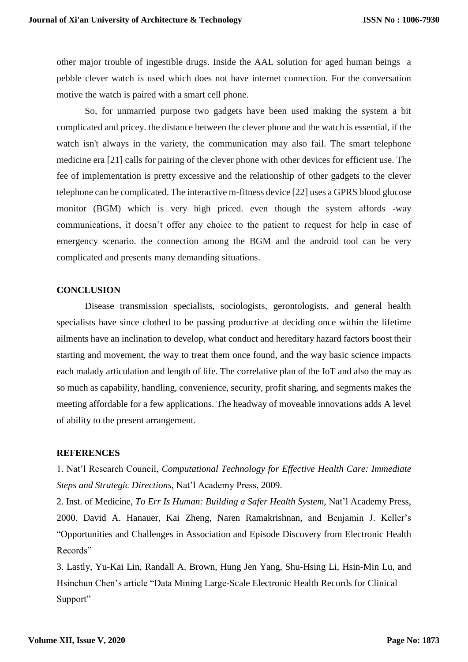other major trouble of ingestible drugs. Inside the AAL solution for aged human beings a pebble clever watch is used which does not have internet connection. For the conversation motive the watch is paired with a smart cell phone.

So, for unmarried purpose two gadgets have been used making the system a bit complicated and pricey. the distance between the clever phone and the watch is essential, if the watch isn't always in the variety, the communication may also fail. The smart telephone medicine era [21] calls for pairing of the clever phone with other devices for efficient use. The fee of implementation is pretty excessive and the relationship of other gadgets to the clever telephone can be complicated. The interactive m-fitness device [22] uses a GPRS blood glucose monitor (BGM) which is very high priced. even though the system affords -way communications, it doesn't offer any choice to the patient to request for help in case of emergency scenario. the connection among the BGM and the android tool can be very complicated and presents many demanding situations.

## **CONCLUSION**

Disease transmission specialists, sociologists, gerontologists, and general health specialists have since clothed to be passing productive at deciding once within the lifetime ailments have an inclination to develop, what conduct and hereditary hazard factors boost their starting and movement, the way to treat them once found, and the way basic science impacts each malady articulation and length of life. The correlative plan of the IoT and also the may as so much as capability, handling, convenience, security, profit sharing, and segments makes the meeting affordable for a few applications. The headway of moveable innovations adds A level of ability to the present arrangement.

### **REFERENCES**

1. Nat'l Research Council, *Computational Technology for Effective Health Care: Immediate Steps and Strategic Directions,* Nat'l Academy Press, 2009.

2. Inst. of Medicine, *To Err Is Human: Building a Safer Health System,* Nat'l Academy Press, 2000. David A. Hanauer, Kai Zheng, Naren Ramakrishnan, and Benjamin J. Keller's "Opportunities and Challenges in Association and Episode Discovery from Electronic Health Records"

3. Lastly, Yu-Kai Lin, Randall A. Brown, Hung Jen Yang, Shu-Hsing Li, Hsin-Min Lu, and Hsinchun Chen's article "Data Mining Large-Scale Electronic Health Records for Clinical Support"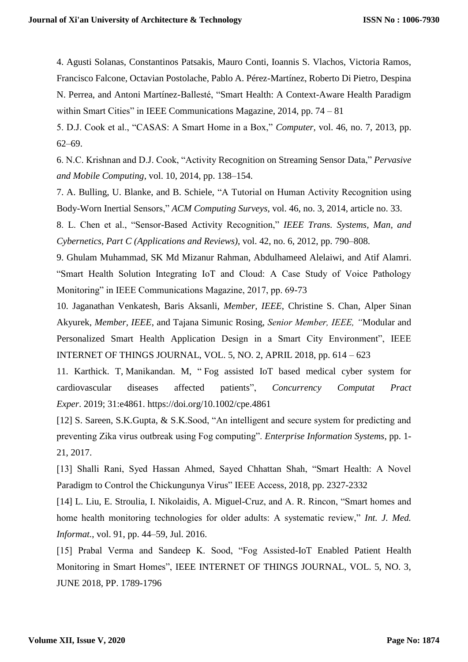4. Agusti Solanas, Constantinos Patsakis, Mauro Conti, Ioannis S. Vlachos, Victoria Ramos, Francisco Falcone, Octavian Postolache, Pablo A. Pérez-Martínez, Roberto Di Pietro, Despina N. Perrea, and Antoni Martínez-Ballesté, "Smart Health: A Context-Aware Health Paradigm within Smart Cities" in IEEE Communications Magazine, 2014, pp. 74 – 81

5. D.J. Cook et al., "CASAS: A Smart Home in a Box," *Computer,* vol. 46, no. 7, 2013, pp. 62–69.

6. N.C. Krishnan and D.J. Cook, "Activity Recognition on Streaming Sensor Data," *Pervasive and Mobile Computing*, vol. 10, 2014, pp. 138–154.

7. A. Bulling, U. Blanke, and B. Schiele, "A Tutorial on Human Activity Recognition using Body-Worn Inertial Sensors," *ACM Computing Surveys*, vol. 46, no. 3, 2014, article no. 33.

8. L. Chen et al., "Sensor-Based Activity Recognition," *IEEE Trans. Systems, Man, and Cybernetics, Part C (Applications and Reviews)*, vol. 42, no. 6, 2012, pp. 790–808.

9. Ghulam Muhammad, SK Md Mizanur Rahman, Abdulhameed Alelaiwi, and Atif Alamri. "Smart Health Solution Integrating IoT and Cloud: A Case Study of Voice Pathology Monitoring" in IEEE Communications Magazine, 2017, pp. 69-73

10. Jaganathan Venkatesh, Baris Aksanli, *Member, IEEE*, Christine S. Chan, Alper Sinan Akyurek, *Member, IEEE*, and Tajana Simunic Rosing, *Senior Member, IEEE, "*Modular and Personalized Smart Health Application Design in a Smart City Environment", IEEE INTERNET OF THINGS JOURNAL, VOL. 5, NO. 2, APRIL 2018, pp. 614 – 623

11. Karthick. T, Manikandan. M, " Fog assisted IoT based medical cyber system for cardiovascular diseases affected patients", *Concurrency Computat Pract Exper*. 2019; 31:e4861. <https://doi.org/10.1002/cpe.4861>

[12] S. Sareen, S.K.Gupta, & S.K.Sood, "An intelligent and secure system for predicting and preventing Zika virus outbreak using Fog computing". *Enterprise Information Systems*, pp. 1- 21, 2017.

[13] Shalli Rani, Syed Hassan Ahmed, Sayed Chhattan Shah, "Smart Health: A Novel Paradigm to Control the Chickungunya Virus" IEEE Access, 2018, pp. 2327-2332

[14] L. Liu, E. Stroulia, I. Nikolaidis, A. Miguel-Cruz, and A. R. Rincon, "Smart homes and home health monitoring technologies for older adults: A systematic review," *Int. J. Med. Informat.*, vol. 91, pp. 44–59, Jul. 2016.

[15] Prabal Verma and Sandeep K. Sood, "Fog Assisted-IoT Enabled Patient Health Monitoring in Smart Homes", IEEE INTERNET OF THINGS JOURNAL, VOL. 5, NO. 3, JUNE 2018, PP. 1789-1796